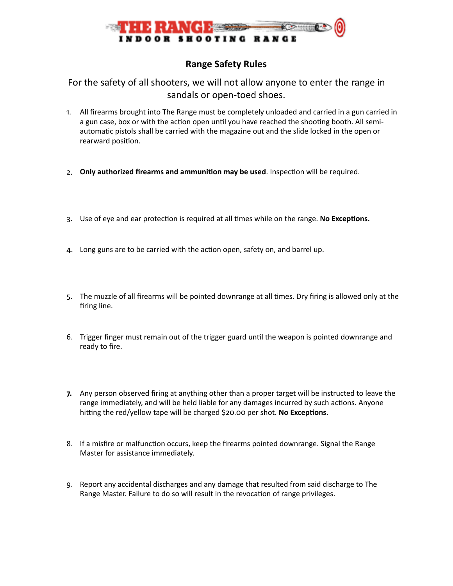

## **Range Safety Rules**

## For the safety of all shooters, we will not allow anyone to enter the range in sandals or open-toed shoes.

- 1. All firearms brought into The Range must be completely unloaded and carried in a gun carried in a gun case, box or with the action open until you have reached the shooting booth. All semiautomatic pistols shall be carried with the magazine out and the slide locked in the open or rearward position.
- 2. Only authorized firearms and ammunition may be used. Inspection will be required.
- 3. Use of eye and ear protection is required at all times while on the range. No Exceptions.
- 4. Long guns are to be carried with the action open, safety on, and barrel up.
- 5. The muzzle of all firearms will be pointed downrange at all times. Dry firing is allowed only at the firing line.
- 6. Trigger finger must remain out of the trigger guard until the weapon is pointed downrange and ready to fire.
- **7.** Any person observed firing at anything other than a proper target will be instructed to leave the range immediately, and will be held liable for any damages incurred by such actions. Anyone hitting the red/yellow tape will be charged \$20.00 per shot. No Exceptions.
- 8. If a misfire or malfunction occurs, keep the firearms pointed downrange. Signal the Range Master for assistance immediately.
- 9. Report any accidental discharges and any damage that resulted from said discharge to The Range Master. Failure to do so will result in the revocation of range privileges.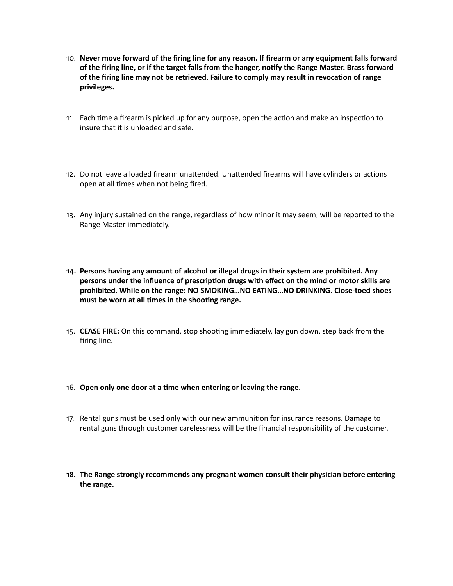- 10. **Never move forward of the firing line for any reason. If firearm or any equipment falls forward**  of the firing line, or if the target falls from the hanger, notify the Range Master. Brass forward of the firing line may not be retrieved. Failure to comply may result in revocation of range **privileges.**
- 11. Each time a firearm is picked up for any purpose, open the action and make an inspection to insure that it is unloaded and safe.
- 12. Do not leave a loaded firearm unattended. Unattended firearms will have cylinders or actions open at all times when not being fired.
- 13. Any injury sustained on the range, regardless of how minor it may seem, will be reported to the Range Master immediately.
- **14. Persons having any amount of alcohol or illegal drugs in their system are prohibited. Any**  persons under the influence of prescription drugs with effect on the mind or motor skills are **prohibited. While on the range: NO SMOKING…NO EATING…NO DRINKING. Close-toed shoes**  must be worn at all times in the shooting range.
- 15. **CEASE FIRE:** On this command, stop shooting immediately, lay gun down, step back from the firing line.

## 16. Open only one door at a time when entering or leaving the range.

- 17. Rental guns must be used only with our new ammunition for insurance reasons. Damage to rental guns through customer carelessness will be the financial responsibility of the customer.
- **18. The Range strongly recommends any pregnant women consult their physician before entering the range.**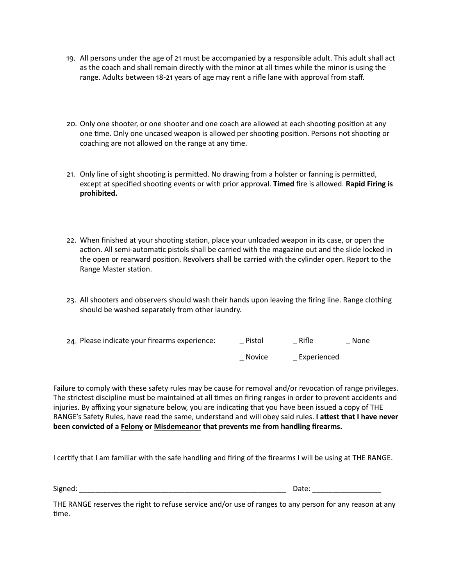- 19. All persons under the age of 21 must be accompanied by a responsible adult. This adult shall act as the coach and shall remain directly with the minor at all times while the minor is using the range. Adults between 18-21 years of age may rent a rifle lane with approval from staff.
- 20. Only one shooter, or one shooter and one coach are allowed at each shooting position at any one time. Only one uncased weapon is allowed per shooting position. Persons not shooting or coaching are not allowed on the range at any time.
- 21. Only line of sight shooting is permitted. No drawing from a holster or fanning is permitted, except at specified shooting events or with prior approval. **Timed** fire is allowed. **Rapid Firing is prohibited.**
- 22. When finished at your shooting station, place your unloaded weapon in its case, or open the action. All semi-automatic pistols shall be carried with the magazine out and the slide locked in the open or rearward position. Revolvers shall be carried with the cylinder open. Report to the Range Master station.
- 23. All shooters and observers should wash their hands upon leaving the firing line. Range clothing should be washed separately from other laundry.

| 24. Please indicate your firearms experience: | Pistol        | Rifle       | None |
|-----------------------------------------------|---------------|-------------|------|
|                                               | <b>Novice</b> | Experienced |      |

Failure to comply with these safety rules may be cause for removal and/or revocation of range privileges. The strictest discipline must be maintained at all times on firing ranges in order to prevent accidents and injuries. By affixing your signature below, you are indicating that you have been issued a copy of THE RANGE's Safety Rules, have read the same, understand and will obey said rules. I attest that I have never **been convicted of a Felony or Misdemeanor that prevents me from handling firearms.** 

I certify that I am familiar with the safe handling and firing of the firearms I will be using at THE RANGE.

Signed: \_\_\_\_\_\_\_\_\_\_\_\_\_\_\_\_\_\_\_\_\_\_\_\_\_\_\_\_\_\_\_\_\_\_\_\_\_\_\_\_\_\_\_\_\_\_\_\_\_\_\_ Date: \_\_\_\_\_\_\_\_\_\_\_\_\_\_\_\_\_

THE RANGE reserves the right to refuse service and/or use of ranges to any person for any reason at any time.